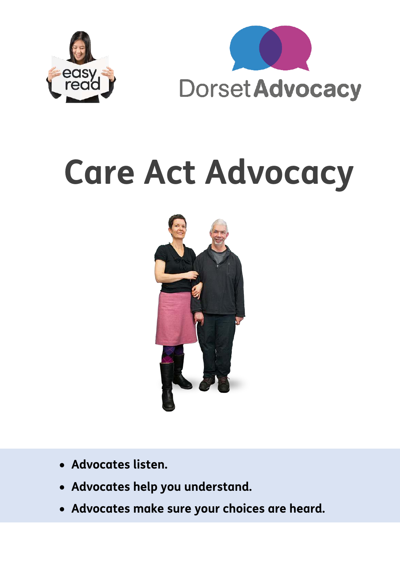



# **Care Act Advocacy**



- **Advocates listen.**
- **Advocates help you understand.**
- **Advocates make sure your choices are heard.**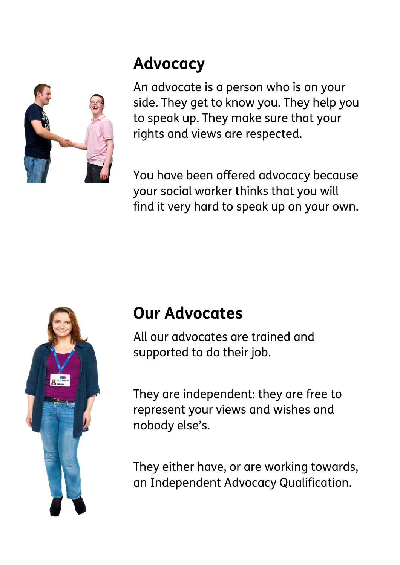#### **Advocacy**



An advocate is a person who is on your side. They get to know you. They help you to speak up. They make sure that your rights and views are respected.

You have been offered advocacy because your social worker thinks that you will find it very hard to speak up on your own.



#### **Our Advocates**

All our advocates are trained and supported to do their job.

They are independent: they are free to represent your views and wishes and nobody else's.

They either have, or are working towards, an Independent Advocacy Qualification.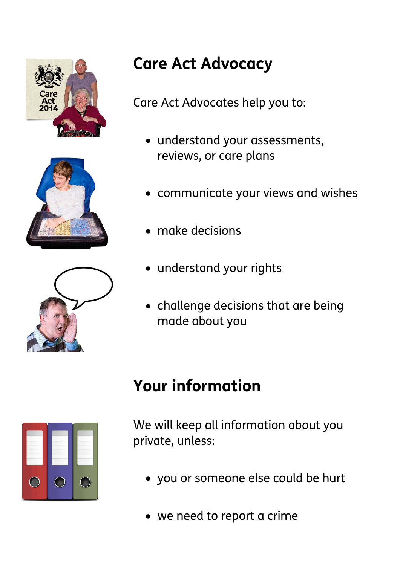





## **Care Act Advocacy**

Care Act Advocates help you to:

- understand your assessments, reviews, or care plans
- communicate your views and wishes
- make decisions
- understand your rights
- challenge decisions that are being made about you

### **Your information**



We will keep all information about you private, unless:

- you or someone else could be hurt
- we need to report a crime